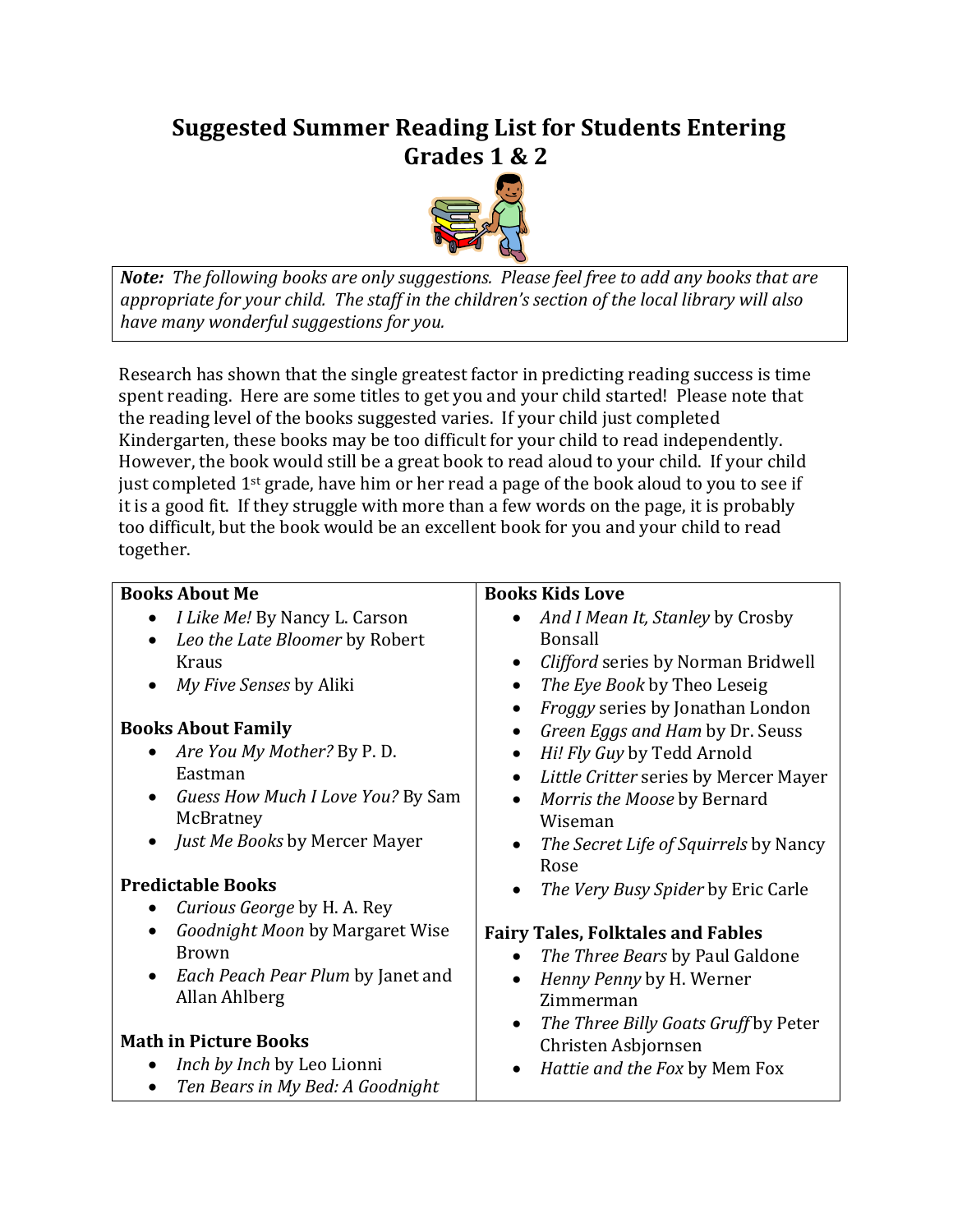## **Suggested Summer Reading List for Students Entering** Grades 1 & 2



**Note:** The following books are only suggestions. Please feel free to add any books that are appropriate for your child. The staff in the children's section of the local library will also have many wonderful suggestions for you.

Research has shown that the single greatest factor in predicting reading success is time spent reading. Here are some titles to get you and your child started! Please note that the reading level of the books suggested varies. If your child just completed Kindergarten, these books may be too difficult for your child to read independently. However, the book would still be a great book to read aloud to your child. If your child just completed  $1^{st}$  grade, have him or her read a page of the book aloud to you to see if it is a good fit. If they struggle with more than a few words on the page, it is probably too difficult, but the book would be an excellent book for you and your child to read together.

| <b>Books About Me</b>             | <b>Books Kids Love</b>                             |
|-----------------------------------|----------------------------------------------------|
| I Like Me! By Nancy L. Carson     | And I Mean It, Stanley by Crosby                   |
| Leo the Late Bloomer by Robert    | <b>Bonsall</b>                                     |
| Kraus                             | Clifford series by Norman Bridwell<br>$\bullet$    |
| My Five Senses by Aliki           | The Eye Book by Theo Leseig<br>$\bullet$           |
|                                   | Froggy series by Jonathan London                   |
| <b>Books About Family</b>         | Green Eggs and Ham by Dr. Seuss<br>$\bullet$       |
| Are You My Mother? By P.D.        | Hi! Fly Guy by Tedd Arnold<br>$\bullet$            |
| Eastman                           | Little Critter series by Mercer Mayer<br>$\bullet$ |
| Guess How Much I Love You? By Sam | Morris the Moose by Bernard<br>$\bullet$           |
| McBratney                         | Wiseman                                            |
| Just Me Books by Mercer Mayer     | The Secret Life of Squirrels by Nancy<br>$\bullet$ |
|                                   | Rose                                               |
| <b>Predictable Books</b>          | The Very Busy Spider by Eric Carle<br>$\bullet$    |
| Curious George by H. A. Rey       |                                                    |
| Goodnight Moon by Margaret Wise   | <b>Fairy Tales, Folktales and Fables</b>           |
| <b>Brown</b>                      | The Three Bears by Paul Galdone                    |
| Each Peach Pear Plum by Janet and | Henny Penny by H. Werner<br>$\bullet$              |
| Allan Ahlberg                     | Zimmerman                                          |
|                                   | The Three Billy Goats Gruff by Peter<br>$\bullet$  |
| <b>Math in Picture Books</b>      | Christen Asbjornsen                                |
| Inch by Inch by Leo Lionni        | Hattie and the Fox by Mem Fox<br>$\bullet$         |
| Ten Bears in My Bed: A Goodnight  |                                                    |